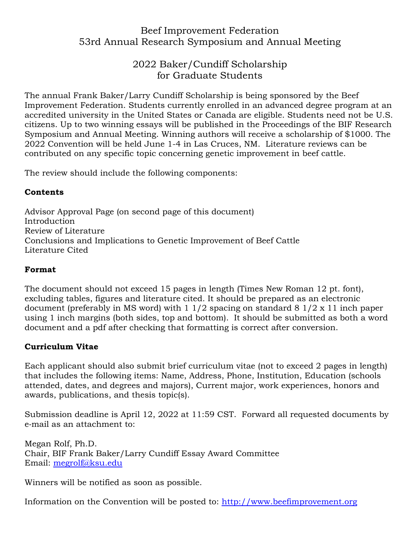# Beef Improvement Federation 53rd Annual Research Symposium and Annual Meeting

## 2022 Baker/Cundiff Scholarship for Graduate Students

The annual Frank Baker/Larry Cundiff Scholarship is being sponsored by the Beef Improvement Federation. Students currently enrolled in an advanced degree program at an accredited university in the United States or Canada are eligible. Students need not be U.S. citizens. Up to two winning essays will be published in the Proceedings of the BIF Research Symposium and Annual Meeting. Winning authors will receive a scholarship of \$1000. The 2022 Convention will be held June 1-4 in Las Cruces, NM. Literature reviews can be contributed on any specific topic concerning genetic improvement in beef cattle.

The review should include the following components:

## **Contents**

Advisor Approval Page (on second page of this document) Introduction Review of Literature Conclusions and Implications to Genetic Improvement of Beef Cattle Literature Cited

#### **Format**

The document should not exceed 15 pages in length (Times New Roman 12 pt. font), excluding tables, figures and literature cited. It should be prepared as an electronic document (preferably in MS word) with 1 1/2 spacing on standard 8 1/2 x 11 inch paper using 1 inch margins (both sides, top and bottom). It should be submitted as both a word document and a pdf after checking that formatting is correct after conversion.

## **Curriculum Vitae**

Each applicant should also submit brief curriculum vitae (not to exceed 2 pages in length) that includes the following items: Name, Address, Phone, Institution, Education (schools attended, dates, and degrees and majors), Current major, work experiences, honors and awards, publications, and thesis topic(s).

Submission deadline is April 12, 2022 at 11:59 CST. Forward all requested documents by e‐mail as an attachment to:

Megan Rolf, Ph.D. Chair, BIF Frank Baker/Larry Cundiff Essay Award Committee Email: [megrolf@ksu.edu](mailto:megrolf@ksu.edu)

Winners will be notified as soon as possible.

Information on the Convention will be posted to: [http://www.beefimprovement.org](http://www.beefimprovement.org/)